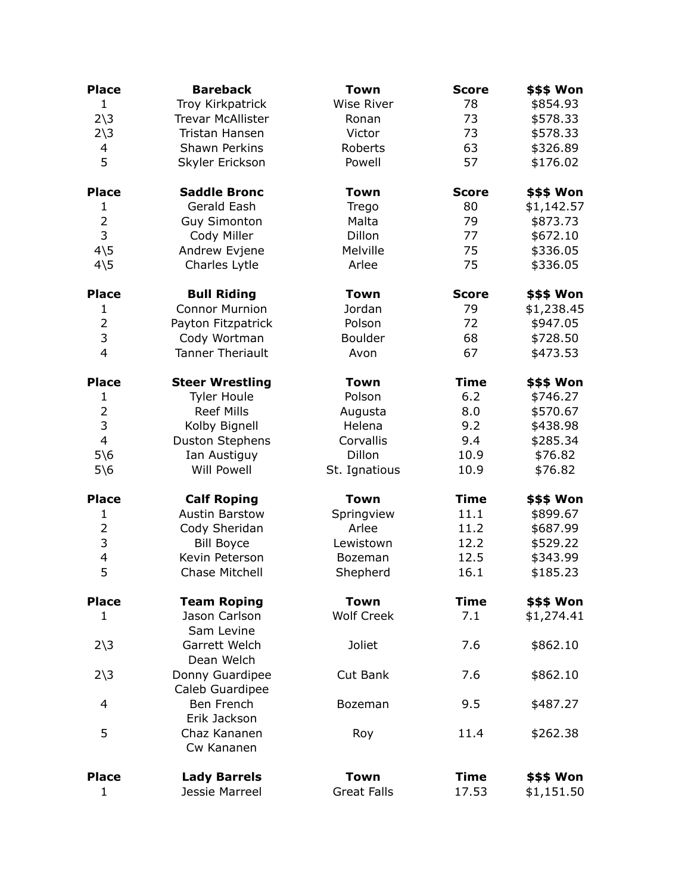| <b>Place</b>                 | <b>Bareback</b>                       | <b>Town</b>                       | <b>Score</b>  | \$\$\$ Won               |
|------------------------------|---------------------------------------|-----------------------------------|---------------|--------------------------|
| $\mathbf{1}$                 | Troy Kirkpatrick                      | <b>Wise River</b>                 | 78            | \$854.93                 |
| $2\overline{\smash)3}$       | <b>Trevar McAllister</b>              | Ronan                             | 73            | \$578.33                 |
| $2\overline{\smash)3}$       | Tristan Hansen                        | Victor                            | 73            | \$578.33                 |
| 4                            | Shawn Perkins                         | Roberts                           | 63            | \$326.89                 |
| 5                            | Skyler Erickson                       | Powell                            | 57            | \$176.02                 |
| <b>Place</b>                 | <b>Saddle Bronc</b>                   | <b>Town</b>                       | <b>Score</b>  | \$\$\$ Won               |
| 1                            | Gerald Eash                           | Trego                             | 80            | \$1,142.57               |
| $\overline{2}$               | <b>Guy Simonton</b>                   | Malta                             | 79            | \$873.73                 |
| 3                            | Cody Miller                           | Dillon                            | 77            | \$672.10                 |
| $4\overline{5}$              | Andrew Evjene                         | Melville                          | 75            | \$336.05                 |
| $4\overline{\smash{\big)}5}$ | Charles Lytle                         | Arlee                             | 75            | \$336.05                 |
| <b>Place</b>                 | <b>Bull Riding</b>                    | <b>Town</b>                       | <b>Score</b>  | \$\$\$ Won               |
| $\mathbf{1}$                 | <b>Connor Murnion</b>                 | Jordan                            | 79            | \$1,238.45               |
| $\overline{2}$               | Payton Fitzpatrick                    | Polson                            | 72            | \$947.05                 |
| 3                            | Cody Wortman                          | <b>Boulder</b>                    | 68            | \$728.50                 |
| $\overline{4}$               | <b>Tanner Theriault</b>               | Avon                              | 67            | \$473.53                 |
| <b>Place</b>                 | <b>Steer Wrestling</b>                | <b>Town</b>                       | <b>Time</b>   | <b>\$\$\$ Won</b>        |
| $\mathbf{1}$                 | <b>Tyler Houle</b>                    | Polson                            | 6.2           | \$746.27                 |
| $\overline{2}$               | <b>Reef Mills</b>                     | Augusta                           | 8.0           | \$570.67                 |
| 3                            | Kolby Bignell                         | Helena                            | 9.2           | \$438.98                 |
| $\overline{4}$               | <b>Duston Stephens</b>                | Corvallis                         | 9.4           | \$285.34                 |
| $5\backslash 6$              | Ian Austiguy                          | Dillon                            | 10.9          | \$76.82                  |
| $5\$ 6                       | <b>Will Powell</b>                    | St. Ignatious                     | 10.9          | \$76.82                  |
| <b>Place</b>                 | <b>Calf Roping</b>                    | <b>Town</b>                       | <b>Time</b>   | \$\$\$ Won               |
| 1                            | <b>Austin Barstow</b>                 | Springview                        | 11.1          | \$899.67                 |
| $\overline{2}$               | Cody Sheridan                         | Arlee                             | 11.2          | \$687.99                 |
| 3                            | <b>Bill Boyce</b>                     | Lewistown                         | 12.2          | \$529.22                 |
| 4                            | Kevin Peterson                        | <b>Bozeman</b>                    | 12.5          | \$343.99                 |
| 5                            | Chase Mitchell                        | Shepherd                          | 16.1          | \$185.23                 |
| <b>Place</b>                 | <b>Team Roping</b>                    | <b>Town</b>                       | <b>Time</b>   | \$\$\$ Won               |
| 1                            | Jason Carlson<br>Sam Levine           | <b>Wolf Creek</b>                 | 7.1           | \$1,274.41               |
| $2\overline{\smash)3}$       | Garrett Welch<br>Dean Welch           | <b>Joliet</b>                     | 7.6           | \$862.10                 |
| $2\overline{\smash)3}$       | Donny Guardipee<br>Caleb Guardipee    | Cut Bank                          | 7.6           | \$862.10                 |
| 4                            | Ben French<br>Erik Jackson            | Bozeman                           | 9.5           | \$487.27                 |
| 5                            | Chaz Kananen<br>Cw Kananen            | Roy                               | 11.4          | \$262.38                 |
| <b>Place</b><br>1            | <b>Lady Barrels</b><br>Jessie Marreel | <b>Town</b><br><b>Great Falls</b> | Time<br>17.53 | \$\$\$ Won<br>\$1,151.50 |